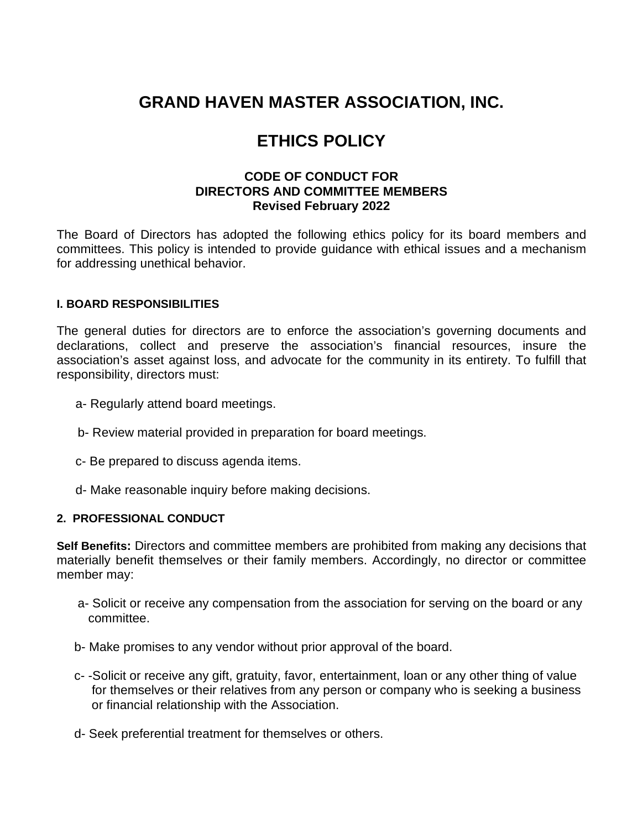# **GRAND HAVEN MASTER ASSOCIATION, INC.**

# **ETHICS POLICY**

## **CODE OF CONDUCT FOR DIRECTORS AND COMMITTEE MEMBERS Revised February 2022**

The Board of Directors has adopted the following ethics policy for its board members and committees. This policy is intended to provide guidance with ethical issues and a mechanism for addressing unethical behavior.

### **I. BOARD RESPONSIBILITIES**

The general duties for directors are to enforce the association's governing documents and declarations, collect and preserve the association's financial resources, insure the association's asset against loss, and advocate for the community in its entirety. To fulfill that responsibility, directors must:

- a- Regularly attend board meetings.
- b- Review material provided in preparation for board meetings.
- c- Be prepared to discuss agenda items.
- d- Make reasonable inquiry before making decisions.

#### **2. PROFESSIONAL CONDUCT**

**Self Benefits:** Directors and committee members are prohibited from making any decisions that materially benefit themselves or their family members. Accordingly, no director or committee member may:

- a- Solicit or receive any compensation from the association for serving on the board or any committee.
- b- Make promises to any vendor without prior approval of the board.
- c- -Solicit or receive any gift, gratuity, favor, entertainment, loan or any other thing of value for themselves or their relatives from any person or company who is seeking a business or financial relationship with the Association.
- d- Seek preferential treatment for themselves or others.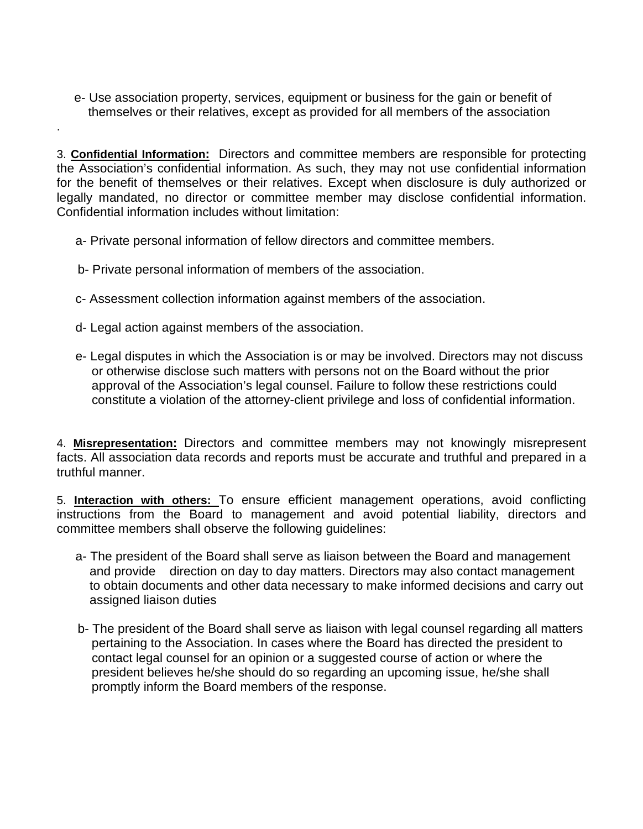e- Use association property, services, equipment or business for the gain or benefit of themselves or their relatives, except as provided for all members of the association

3. **Confidential Information:** Directors and committee members are responsible for protecting the Association's confidential information. As such, they may not use confidential information for the benefit of themselves or their relatives. Except when disclosure is duly authorized or legally mandated, no director or committee member may disclose confidential information. Confidential information includes without limitation:

- a- Private personal information of fellow directors and committee members.
- b- Private personal information of members of the association.
- c- Assessment collection information against members of the association.
- d- Legal action against members of the association.

.

e- Legal disputes in which the Association is or may be involved. Directors may not discuss or otherwise disclose such matters with persons not on the Board without the prior approval of the Association's legal counsel. Failure to follow these restrictions could constitute a violation of the attorney-client privilege and loss of confidential information.

4. **Misrepresentation:** Directors and committee members may not knowingly misrepresent facts. All association data records and reports must be accurate and truthful and prepared in a truthful manner.

5. **Interaction with others:** To ensure efficient management operations, avoid conflicting instructions from the Board to management and avoid potential liability, directors and committee members shall observe the following guidelines:

- a- The president of the Board shall serve as liaison between the Board and management and provide direction on day to day matters. Directors may also contact management to obtain documents and other data necessary to make informed decisions and carry out assigned liaison duties
- b- The president of the Board shall serve as liaison with legal counsel regarding all matters pertaining to the Association. In cases where the Board has directed the president to contact legal counsel for an opinion or a suggested course of action or where the president believes he/she should do so regarding an upcoming issue, he/she shall promptly inform the Board members of the response.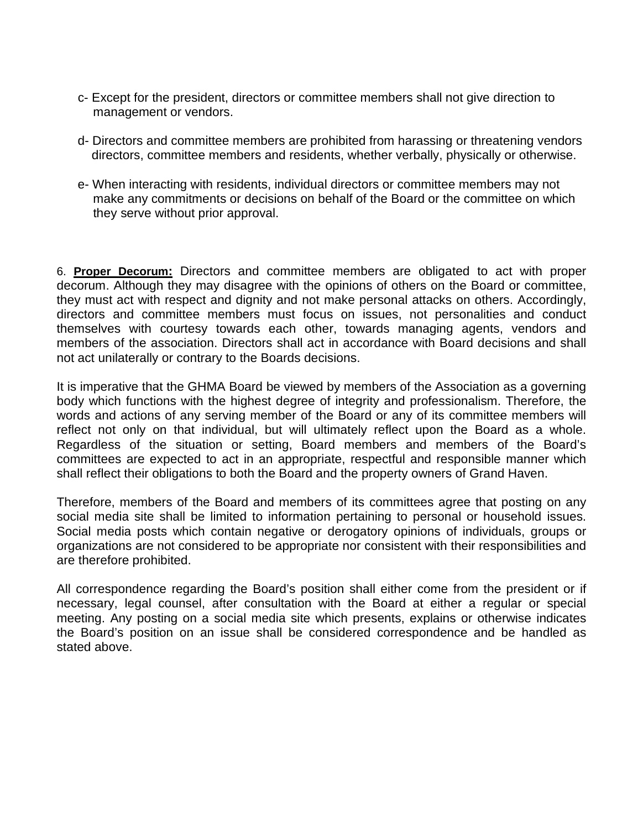- c- Except for the president, directors or committee members shall not give direction to management or vendors.
- d- Directors and committee members are prohibited from harassing or threatening vendors directors, committee members and residents, whether verbally, physically or otherwise.
- e- When interacting with residents, individual directors or committee members may not make any commitments or decisions on behalf of the Board or the committee on which they serve without prior approval.

6. **Proper Decorum:** Directors and committee members are obligated to act with proper decorum. Although they may disagree with the opinions of others on the Board or committee, they must act with respect and dignity and not make personal attacks on others. Accordingly, directors and committee members must focus on issues, not personalities and conduct themselves with courtesy towards each other, towards managing agents, vendors and members of the association. Directors shall act in accordance with Board decisions and shall not act unilaterally or contrary to the Boards decisions.

It is imperative that the GHMA Board be viewed by members of the Association as a governing body which functions with the highest degree of integrity and professionalism. Therefore, the words and actions of any serving member of the Board or any of its committee members will reflect not only on that individual, but will ultimately reflect upon the Board as a whole. Regardless of the situation or setting, Board members and members of the Board's committees are expected to act in an appropriate, respectful and responsible manner which shall reflect their obligations to both the Board and the property owners of Grand Haven.

Therefore, members of the Board and members of its committees agree that posting on any social media site shall be limited to information pertaining to personal or household issues. Social media posts which contain negative or derogatory opinions of individuals, groups or organizations are not considered to be appropriate nor consistent with their responsibilities and are therefore prohibited.

All correspondence regarding the Board's position shall either come from the president or if necessary, legal counsel, after consultation with the Board at either a regular or special meeting. Any posting on a social media site which presents, explains or otherwise indicates the Board's position on an issue shall be considered correspondence and be handled as stated above.